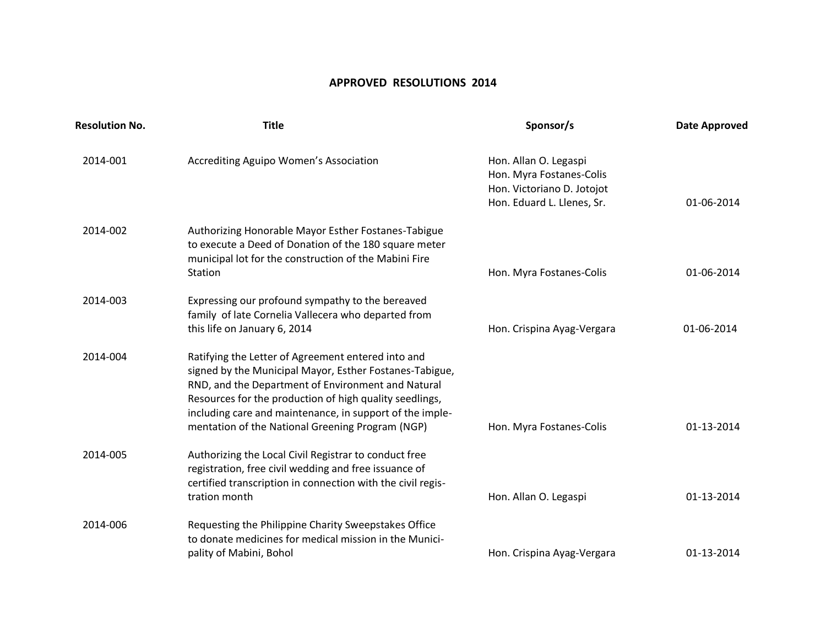## **APPROVED RESOLUTIONS 2014**

| <b>Resolution No.</b> | <b>Title</b>                                                                                                                                                                                                                                                                                                                                   | Sponsor/s                                                                                                     | <b>Date Approved</b> |
|-----------------------|------------------------------------------------------------------------------------------------------------------------------------------------------------------------------------------------------------------------------------------------------------------------------------------------------------------------------------------------|---------------------------------------------------------------------------------------------------------------|----------------------|
| 2014-001              | Accrediting Aguipo Women's Association                                                                                                                                                                                                                                                                                                         | Hon. Allan O. Legaspi<br>Hon. Myra Fostanes-Colis<br>Hon. Victoriano D. Jotojot<br>Hon. Eduard L. Llenes, Sr. | 01-06-2014           |
| 2014-002              | Authorizing Honorable Mayor Esther Fostanes-Tabigue<br>to execute a Deed of Donation of the 180 square meter<br>municipal lot for the construction of the Mabini Fire<br>Station                                                                                                                                                               | Hon. Myra Fostanes-Colis                                                                                      | 01-06-2014           |
| 2014-003              | Expressing our profound sympathy to the bereaved<br>family of late Cornelia Vallecera who departed from<br>this life on January 6, 2014                                                                                                                                                                                                        | Hon. Crispina Ayag-Vergara                                                                                    | 01-06-2014           |
| 2014-004              | Ratifying the Letter of Agreement entered into and<br>signed by the Municipal Mayor, Esther Fostanes-Tabigue,<br>RND, and the Department of Environment and Natural<br>Resources for the production of high quality seedlings,<br>including care and maintenance, in support of the imple-<br>mentation of the National Greening Program (NGP) | Hon. Myra Fostanes-Colis                                                                                      | 01-13-2014           |
| 2014-005              | Authorizing the Local Civil Registrar to conduct free<br>registration, free civil wedding and free issuance of<br>certified transcription in connection with the civil regis-<br>tration month                                                                                                                                                 | Hon. Allan O. Legaspi                                                                                         | 01-13-2014           |
| 2014-006              | Requesting the Philippine Charity Sweepstakes Office<br>to donate medicines for medical mission in the Munici-<br>pality of Mabini, Bohol                                                                                                                                                                                                      | Hon. Crispina Ayag-Vergara                                                                                    | 01-13-2014           |